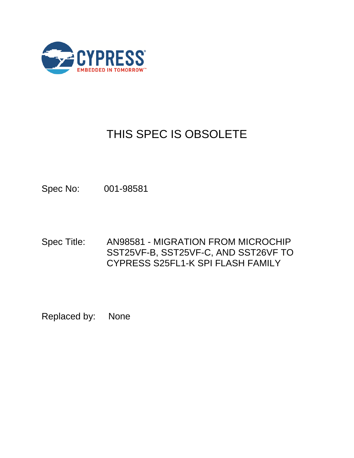

# THIS SPEC IS OBSOLETE

Spec No: 001-98581

Spec Title: AN98581 - MIGRATION FROM MICROCHIP SST25VF-B, SST25VF-C, AND SST26VF TO CYPRESS S25FL1-K SPI FLASH FAMILY

Replaced by: None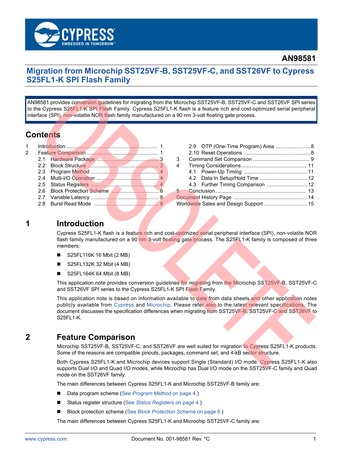

## **Migration from Microchip SST25VF-B, SST25VF-C, and SST26VF to Cypress S25FL1-K SPI Flash Family**

AN98581 provides conversion guidelines for migrating from the Microchip SST25VF-B, SST25VF-C and SST26VF SPI series to the Cypress S25FL1-K SPI Flash Family. Cypress S25FL1-K flash is a feature rich and cost-optimized serial peripheral interface (SPI), non-volatile NOR flash family manufactured on a 90 nm 3-volt floating gate process.

## **Contents**

| $\mathbf 1$ |     |                                                                                                                 |  |
|-------------|-----|-----------------------------------------------------------------------------------------------------------------|--|
|             |     |                                                                                                                 |  |
|             |     |                                                                                                                 |  |
|             |     |                                                                                                                 |  |
|             |     |                                                                                                                 |  |
|             |     |                                                                                                                 |  |
|             |     |                                                                                                                 |  |
|             | 2.6 |                                                                                                                 |  |
|             |     |                                                                                                                 |  |
|             | 2 R |                                                                                                                 |  |
|             |     | the contract of the contract of the contract of the contract of the contract of the contract of the contract of |  |

|   | 2.9 OTP (One-Time Program) Area  8     |  |
|---|----------------------------------------|--|
|   |                                        |  |
| 3 |                                        |  |
| 4 |                                        |  |
|   |                                        |  |
|   | 4.2 Data In Setup/Hold Time  12        |  |
|   |                                        |  |
|   |                                        |  |
|   |                                        |  |
|   | Worldwide Sales and Design Support  15 |  |
|   |                                        |  |

## <span id="page-1-0"></span>**1 Introduction**

Cypress S25FL1-K flash is a feature rich and cost-optimized serial peripheral interface (SPI), non-volatile NOR flash family manufactured on a 90 nm 3-volt floating gate process. The S25FL1-K family is composed of three members:

- S25FL116K 16 Mbit (2 MB)
- S25FL132K 32 Mbit (4 MB)
- S25FL164K 64 Mbit (8 MB)

This application note provides conversion guidelines for migrating from the Microchip SST25VF-B, SST25VF-C and SST26VF SPI series to the Cypress S25FL1-K SPI Flash Family.

This application note is based on information available to date from data sheets and other application notes publicly available from [Cypress](http://www.spansion.com/Products/Serial-Flash/Pages/Spansion%20FL.aspx) and [Microchip.](http://www.microchip.com/) Please refer also to the latest relevant specifications. The document discusses the specification differences when migrating from SST25VF-B, SST25VF-C and SST26VF to S25FL1-K.

## <span id="page-1-1"></span>**2 Feature Comparison**

Microchip SST25VF-B, SST25VF-C, and SST26VF are well suited for migration to Cypress S25FL1-K products. Some of the reasons are compatible pinouts, packages, command set, and 4-kB sector structure.

Both Cypress S25FL1-K and Microchip devices support Single (Standard) I/O mode. Cypress S25FL1-K also supports Dual I/O and Quad I/O modes, while Microchip has Dual I/O mode on the SST25VF-C family and Quad mode on the SST26VF family.

The main differences between Cypress S25FL1-K and Microchip SST25VF-B family are:

- Data program scheme (See *[Program Method](#page-4-0)* on page 4.)
- Status register structure (See [Status Registers](#page-4-2) on page 4.)
- Block protection scheme (See *[Block Protection Scheme](#page-6-0)* on page 6.)

The main differences between Cypress S25FL1-K and Microchip SST25VF-C family are: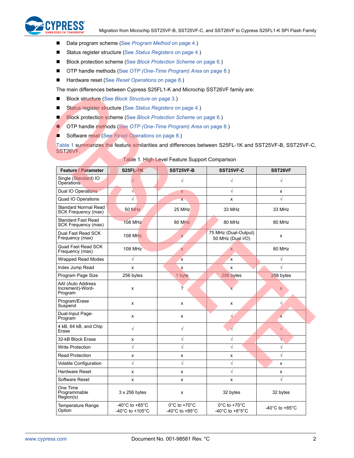

- Data program scheme (See *[Program Method](#page-4-0)* on page 4.)
- Status register structure (See *[Status Registers](#page-4-2)* on page 4.)
- Block protection scheme (See [Block Protection Scheme](#page-6-0) on page 6.)
- OTP handle methods (See [OTP \(One-Time Program\) Area](#page-8-2) on page 8.)
- Hardware reset (See *[Reset Operations](#page-8-3)* on page 8.)

The main differences between Cypress S25FL1-K and Microchip SST26VF family are:

- Block structure (See [Block Structure](#page-3-1) on page 3.)
- Status register structure (See *[Status Registers](#page-4-2)* on page 4.)
- **Block protection scheme (See [Block Protection Scheme](#page-6-0) on page 6.)**
- OTP handle methods (See *[OTP \(One-Time Program\) Area](#page-8-2)* on page 8.)
- Software reset (See *[Reset Operations](#page-8-3)* on page 8.)

[Table 1](#page-2-0) summarizes the feature similarities and differences between S25FL-1K and SST25VF-B, SST25VF-C, SST26VF.

<span id="page-2-0"></span>

| Feature / Parameter                                       | <b>S25FL-1K</b>                                                               | <b>SST25VF-B</b>                                                          | SST25VF-C                                            | SST <sub>26</sub> VF                 |
|-----------------------------------------------------------|-------------------------------------------------------------------------------|---------------------------------------------------------------------------|------------------------------------------------------|--------------------------------------|
| Single (Standard) IO<br>Operations                        |                                                                               | $\sqrt{}$                                                                 | $\sqrt{}$                                            | $\sqrt{}$                            |
| Dual IO Operations                                        | $\sqrt{}$                                                                     | X                                                                         | $\sqrt{}$                                            | x                                    |
| Quad IO Operations                                        | $\sqrt{}$                                                                     | $\mathsf{X}^-$                                                            | x                                                    | $\sqrt{}$                            |
| <b>Standard Normal Read</b><br><b>SCK Frequency (max)</b> | <b>50 MHz</b>                                                                 | 25 MHz                                                                    | 33 MHz                                               | 33 MHz                               |
| <b>Standard Fast Read</b><br>SCK Frequency (max)          | <b>108 MHz</b>                                                                | 80 MHz                                                                    | 80 MHz                                               | 80 MHz                               |
| Dual Fast Read SCK<br>Frequency (max)                     | <b>108 MHz</b>                                                                | $\mathsf{x}$                                                              | 75 MHz (Dual-Output)<br>50 MHz (Dual I/O)            | x                                    |
| Quad Fast Read SCK<br>Frequency (max)                     | <b>108 MHz</b>                                                                | $\overline{\mathsf{x}}$                                                   | X                                                    | 80 MHz                               |
| <b>Wrapped Read Modes</b>                                 | $\sqrt{}$                                                                     | $\mathbf{x}$                                                              | x                                                    | V                                    |
| Index Jump Read                                           | x                                                                             | $\boldsymbol{\mathsf{x}}$                                                 | X                                                    |                                      |
| Program Page Size                                         | 256 bytes                                                                     | 1 byte                                                                    | 256 bytes                                            | 256 bytes                            |
| AAI (Auto Address<br>Increment)-Word-<br>Program          | X                                                                             | $\overline{?}$                                                            | x                                                    | $\mathsf{x}$                         |
| Program/Erase<br>Suspend                                  | x                                                                             | x                                                                         | x                                                    |                                      |
| Dual-Input Page-<br>Program                               | x                                                                             | x                                                                         | $\sqrt{}$                                            | $\mathbf{x}$                         |
| 4 kB, 64 kB, and Chip<br>Erase                            | $\sqrt{}$                                                                     | $\sqrt{}$                                                                 |                                                      | $\sqrt{}$                            |
| 32-kB Block Erase                                         | x                                                                             | $\sqrt{}$                                                                 | $\sqrt{}$                                            |                                      |
| <b>Write Protection</b>                                   | $\sqrt{}$                                                                     | $\sqrt{}$                                                                 | $\sqrt{}$                                            |                                      |
| <b>Read Protection</b>                                    | x                                                                             | x                                                                         | x                                                    | $\sqrt{}$                            |
| <b>Volatile Configuration</b>                             | $\sqrt{}$                                                                     | $\sqrt{}$                                                                 | $\sqrt{}$                                            | x                                    |
| Hardware Reset                                            | X                                                                             | x                                                                         | $\sqrt{}$                                            | x                                    |
| Software Reset                                            | x                                                                             | x                                                                         | x                                                    | $\sqrt{}$                            |
| One Time<br>Programmable<br>Region(s)                     | 3 x 256 bytes                                                                 | x                                                                         | 32 bytes                                             | 32 bytes                             |
| Temperature Range<br>Option                               | -40 $^{\circ}$ C to +85 $^{\circ}$ C<br>-40 $^{\circ}$ C to +105 $^{\circ}$ C | $0^{\circ}$ C to +70 $^{\circ}$ C<br>-40 $^{\circ}$ C to +85 $^{\circ}$ C | $0^{\circ}$ C to +70 $^{\circ}$ C<br>-40°C to +8°5°C | -40 $^{\circ}$ C to +85 $^{\circ}$ C |

|  |  |  | Table 1. High Level Feature Support Comparison |
|--|--|--|------------------------------------------------|
|  |  |  |                                                |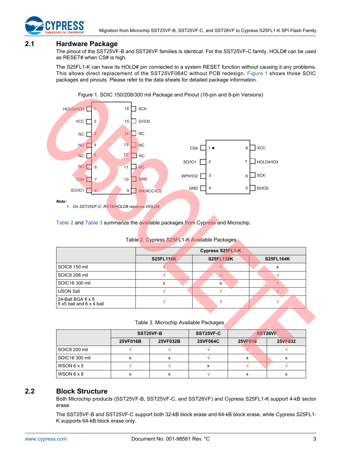

## <span id="page-3-0"></span>**2.1 Hardware Package**

The pinout of the SST25VF-B and SST26VF families is identical. For the SST25VF-C family, HOLD# can be used as RESET# when CS# is high.

The S25FL1-K can have its HOLD# pin connected to a system RESET function without causing it any problems. This allows direct replacement of the SST25VF064C without PCB redesign. [Figure 1](#page-3-2) shows those SOIC packages and pinouts. Please refer to the data sheets for detailed package information.

<span id="page-3-2"></span>

Figure 1. SOIC 150/208/300 mil Package and Pinout (16-pin and 8-pin Versions)

[Table 2](#page-3-3) and [Table 3](#page-3-4) summarize the available packages from Cypress and Microchip.

#### Table 2. Cypress S25FL1-K Available Packages

<span id="page-3-3"></span>

|                                                      |                  | Cypress S25FL1-K |                  |
|------------------------------------------------------|------------------|------------------|------------------|
|                                                      | <b>S25FL116K</b> | <b>S25FL132K</b> | <b>S25FL164K</b> |
| SOIC8 150 mil                                        |                  |                  | x                |
| SOIC8 208 mil                                        |                  |                  |                  |
| SOIC16 300 mil                                       | х                | х                |                  |
| USON 5x6                                             |                  |                  |                  |
| 24-Ball BGA $6 \times 8$<br>5 x5 ball and 6 x 4 ball |                  |                  |                  |

Table 3. Microchip Available Packages

<span id="page-3-4"></span>

|                   | SST25VF-B |          | SST25VF-C       | SST <sub>26</sub> VF |                |  |
|-------------------|-----------|----------|-----------------|----------------------|----------------|--|
|                   | 25VF016B  | 25VF032B | <b>25VF064C</b> | <b>25VF016</b>       | <b>25VF032</b> |  |
| SOIC8 200 mil     |           |          |                 |                      |                |  |
| SOIC16 300 mil    | х         |          |                 | x                    |                |  |
| WSON $6 \times 5$ |           |          |                 |                      |                |  |
| WSON 6 x 8        | ́         |          |                 |                      |                |  |

## <span id="page-3-1"></span>**2.2 Block Structure**

Both Microchip products (SST25VF-B, SST25VF-C, and SST26VF) and Cypress S25FL1-K support 4-kB sector erase.

The SST25VF-B and SST25VF-C support both 32-kB block erase and 64-kB block erase, while Cypress S25FL1- K supports 64-kB block erase only.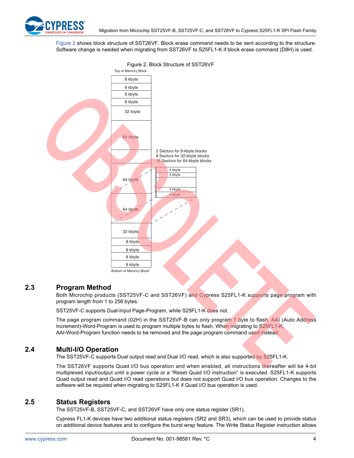

[Figure 2](#page-4-3) shows block structure of SST26VF. Block erase command needs to be sent according to the structure. Software change is needed when migrating from SST26VF to S25FL1-K if block erase command (D8H) is used.

<span id="page-4-3"></span>

## <span id="page-4-0"></span>**2.3 Program Method**

Both Microchip products (SST25VF-C and SST26VF) and Cypress S25FL1-K supports page program with program length from 1 to 256 bytes.

SST25VF-C supports Dual-Input Page-Program, while S25FL1-K does not.

The page program command (02H) in the SST25VF-B can only program 1 byte to flash. AAI (Auto Address Increment)-Word-Program is used to program multiple bytes to flash. When migrating to S25FL1-K, AAI-Word-Program function needs to be removed and the page program command used instead.

## <span id="page-4-1"></span>**2.4 Multi-I/O Operation**

The SST25VF-C supports Dual output read and Dual I/O read, which is also supported by S25FL1-K.

The SST26VF supports Quad I/O bus operation and when enabled, all instructions thereafter will be 4-bit multiplexed input/output until a power cycle or a "Reset Quad I/O instruction" is executed. S25FL1-K supports Quad output read and Quad I/O read operations but does not support Quad I/O bus operation. Changes to the software will be required when migrating to S25FL1-K if Quad I/O bus operation is used.

## <span id="page-4-2"></span>**2.5 Status Registers**

The SST25VF-B, SST25VF-C, and SST26VF have only one status register (SR1).

Cypress FL1-K devices have two additional status registers (SR2 and SR3), which can be used to provide status on additional device features and to configure the burst wrap feature. The Write Status Register instruction allows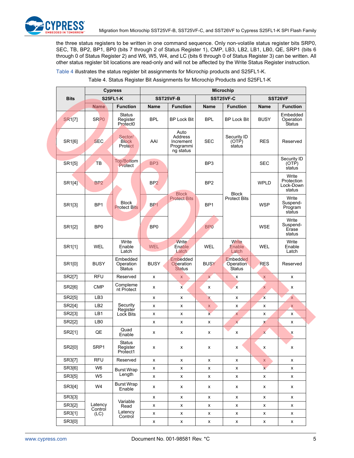

the three status registers to be written in one command sequence. Only non-volatile status register bits SRP0, SEC, TB, BP2, BP1, BP0 (bits 7 through 2 of Status Register 1), CMP, LB3, LB2, LB1, LB0, QE, SRP1 (bits 6 through 0 of Status Register 2) and W6, W5, W4, and LC (bits 6 through 0 of Status Register 3) can be written. All other status register bit locations are read-only and will not be affected by the Write Status Register instruction.

[Table 4](#page-5-0) illustrates the status register bit assignments for Microchip products and S25FL1-K.

|  |  |  | Table 4. Status Register Bit Assignments for Microchip Products and S25FL1-K |
|--|--|--|------------------------------------------------------------------------------|
|  |  |  |                                                                              |

<span id="page-5-0"></span>

|                     |                    | <b>Cypress</b>                                    | <b>Microchip</b>   |                                                        |                 |                                        |                         |                                            |  |
|---------------------|--------------------|---------------------------------------------------|--------------------|--------------------------------------------------------|-----------------|----------------------------------------|-------------------------|--------------------------------------------|--|
| <b>Bits</b>         |                    | <b>S25FL1-K</b>                                   | SST25VF-B          |                                                        | SST25VF-C       |                                        |                         | SST26VF                                    |  |
|                     | <b>Name</b>        | <b>Function</b>                                   | <b>Name</b>        | <b>Function</b>                                        | Name            | <b>Function</b>                        | <b>Name</b>             | <b>Function</b>                            |  |
| <b>SR1[7]</b>       | SRP <sub>0</sub>   | <b>Status</b><br>Register<br>Protect <sub>0</sub> | <b>BPL</b>         | <b>BP Lock Bit</b>                                     | <b>BPL</b>      | <b>BP Lock Bit</b>                     | <b>BUSY</b>             | Embedded<br>Operation<br>Status            |  |
| SR1[6]              | SEC.               | Sector/<br><b>Block</b><br><b>Protect</b>         | AAI                | Auto<br>Address<br>Increment<br>Programmi<br>ng status | <b>SEC</b>      | Security ID<br>(OTP)<br>status         | <b>RES</b>              | Reserved                                   |  |
| SR1[5]              | TB                 | Top/Bottom<br>Protect                             | BP <sub>3</sub>    |                                                        | BP <sub>3</sub> |                                        | <b>SEC</b>              | Security ID<br>(OTP)<br>status             |  |
| SR <sub>1</sub> [4] | B <sub>P2</sub>    |                                                   | BP <sub>2</sub>    |                                                        | BP <sub>2</sub> |                                        | <b>WPLD</b>             | Write<br>Protection<br>Lock-Down<br>status |  |
| SR1[3]              | BP <sub>1</sub>    | <b>Block</b><br><b>Protect Bits</b>               | BP <sub>1</sub>    | <b>Block</b><br><b>Protect Bits</b>                    | BP <sub>1</sub> | <b>Block</b><br><b>Protect Bits</b>    | <b>WSP</b>              | Write<br>Suspend-<br>Program<br>status     |  |
| SR1[2]              | BP <sub>0</sub>    |                                                   | BP <sub>0</sub>    |                                                        | BP <sub>0</sub> |                                        | <b>WSE</b>              | Write<br>Suspend-<br>Erase<br>status       |  |
| SR1[1]              | <b>WEL</b>         | Write<br>Enable<br>Latch                          | <b>WEL</b>         | <b>Write</b><br>Enable<br>Latch                        | <b>WEL</b>      | <b>Write</b><br>Enable<br>Latch        | <b>WEL</b>              | Write<br>Enable<br>Latch                   |  |
| SR1[0]              | <b>BUSY</b>        | Embedded<br>Operation<br>Status                   | <b>BUSY</b>        | Embedded<br>Operation<br><b>Status</b>                 | <b>BUSY</b>     | <b>Embedded</b><br>Operation<br>Status | <b>RES</b>              | Reserved                                   |  |
| SR2[7]              | <b>RFU</b>         | Reserved                                          | x                  | X                                                      | $\mathsf{X}$    | $\boldsymbol{\mathsf{x}}$              | $\mathsf{X}$            | x                                          |  |
| SR2[6]              | <b>CMP</b>         | Compleme<br>nt Protect                            | x                  | x                                                      | x               | $\mathsf{x}$                           | $\mathsf{x}$            | x                                          |  |
| SR2[5]              | LB <sub>3</sub>    |                                                   | x                  | x                                                      | X.              | x                                      | $\mathsf{x}$            | $\overline{\mathsf{x}}$                    |  |
| SR2[4]              | LB <sub>2</sub>    | Security<br>Register                              | x                  | x                                                      | X               | x                                      | x                       | X                                          |  |
| SR2[3]              | LB1                | Lock Bits                                         | x                  | x                                                      | $\mathbf{x}$    | X                                      | x                       | x                                          |  |
| SR2[2]              | LB <sub>0</sub>    |                                                   | x                  | x                                                      | x               | $\overline{\mathsf{x}}$                | X                       | x                                          |  |
| SR2[1]              | QE                 | Quad<br>Enable                                    | x                  | x                                                      | x               | x                                      | $\mathsf{x}$            | X                                          |  |
| SR2[0]              | SRP1               | Status<br>Register<br>Protect1                    | x                  | x                                                      | x               | X                                      | x                       | x                                          |  |
| SR3[7]              | <b>RFU</b>         | Reserved                                          | x                  | X                                                      | X               | X                                      | $\mathsf{X}$            | X                                          |  |
| SR3[6]              | W6                 | <b>Burst Wrap</b>                                 | X                  | X                                                      | x               | x                                      | $\overline{\mathbf{x}}$ | X                                          |  |
| SR3[5]              | W <sub>5</sub>     | Length                                            | X                  | X                                                      | X               | X                                      | X                       | X                                          |  |
| SR3[4]              | W4                 | <b>Burst Wrap</b><br>Enable                       | x                  | X                                                      | x               | X                                      | X                       | X                                          |  |
| SR3[3]              |                    |                                                   | X                  | X                                                      | X               | X                                      | x                       | x                                          |  |
| SR3[2]              | Latency<br>Control | Variable<br>Read                                  | X                  | X                                                      | x               | X                                      | x                       | X                                          |  |
| SR3[1]              | (LC)               | Latency<br>Control                                | X                  | X                                                      | x               | x                                      | x                       | X                                          |  |
| SR3[0]              |                    |                                                   | $\pmb{\mathsf{x}}$ | $\pmb{\mathsf{x}}$                                     | $\mathsf X$     | $\mathsf X$                            | $\mathsf X$             | X                                          |  |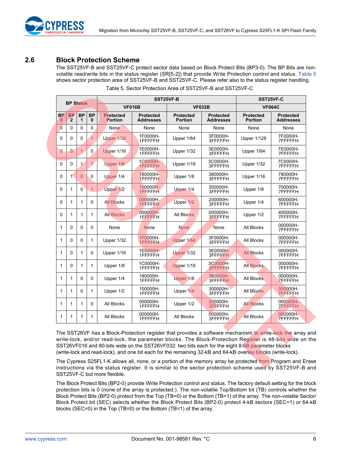

## <span id="page-6-0"></span>**2.6 Block Protection Scheme**

The SST25VF-B and SST25VF-C protect sector data based on Block Protect Bits (BP3-0). The BP Bits are nonvolatile read/write bits in the status register (SR[5-2]) that provide Write Protection control and status. [Table 5](#page-6-1) shows sector protection area of SST25VF-B and SST25VF-C. Please refer also to the status register handling.

<span id="page-6-1"></span>

| <b>BP Status</b> |                             |                | SST25VF-B      |                             | SST25VF-C                                       |                                    |                                      |                                    |                                      |
|------------------|-----------------------------|----------------|----------------|-----------------------------|-------------------------------------------------|------------------------------------|--------------------------------------|------------------------------------|--------------------------------------|
|                  |                             |                |                |                             | <b>VF016B</b><br><b>VF032B</b><br><b>VF064C</b> |                                    |                                      |                                    |                                      |
| <b>BP</b><br>3   | <b>BP</b><br>$\overline{2}$ | <b>BP</b><br>1 | <b>BP</b><br>0 | <b>Protected</b><br>Portion | <b>Protected</b><br><b>Addresses</b>            | <b>Protected</b><br><b>Portion</b> | <b>Protected</b><br><b>Addresses</b> | <b>Protected</b><br><b>Portion</b> | <b>Protected</b><br><b>Addresses</b> |
| $\overline{0}$   | $\Omega$                    | 0              | 0              | None                        | None                                            | None                               | None                                 | None                               | None                                 |
| 0                | 0                           | 0              | $\overline{1}$ | <b>Upper 1/32</b>           | 1F0000H-<br>1FFFFFFH                            | Upper 1/64                         | 3F0000H-<br>3FFFFFH                  | <b>Upper 1/128</b>                 | 7F0000H-<br>7FFFFFH                  |
| $\mathbf{0}$     | 0                           | $\mathbf{1}$   | $\Omega$       | Upper 1/16                  | 1E0000H-<br>1FFFFFH                             | Upper 1/32                         | 3E0000H-<br>3FFFFFFH                 | Upper 1/64                         | 7E0000H-<br><b>7FFFFFH</b>           |
| $\Omega$         | $\Omega$                    | $\mathbf{1}$   | $\mathbf{1}$   | Upper 1/8                   | 1C0000H-<br>1FFFFFFH                            | Upper 1/16                         | 3C0000H-<br>3FFFFFH                  | Upper 1/32                         | 7C0000H-<br>7FFFFFH                  |
| 0                | $\blacktriangleleft$        | $\overline{0}$ | 0              | Upper 1/4                   | 180000H-<br>1FFFFFH                             | Upper 1/8                          | 380000H-<br>3FFFFFH                  | Upper 1/16                         | 780000H-<br>7FFFFFH                  |
| 0                | 1                           | $\Omega$       | $\mathbf{1}$   | Upper 1/2                   | 100000H-<br>1FFFFFH                             | Upper 1/4                          | 300000H-<br>3FFFFFH                  | Upper 1/8                          | 700000H-<br>7FFFFFH                  |
| 0                | 1                           | 1              | $\Omega$       | <b>All Blocks</b>           | 000000H-<br>1FFFFFFH                            | Upper 1/2                          | 200000H-<br>3FFFFFH                  | Upper 1/4                          | 600000H-<br>7FFFFFH                  |
| 0                | 1                           | 1              | 1              | <b>All Blocks</b>           | 000000H-<br>1FFFFFH                             | <b>All Blocks</b>                  | 000000H-<br>3FFFFFH                  | Upper 1/2                          | 400000H-<br>7FFFFFH                  |
| 1                | 0                           | $\Omega$       | 0              | None                        | <b>None</b>                                     | <b>None</b>                        | None                                 | All Blocks                         | 000000H-<br><b>7FFFFFH</b>           |
| 1                | $\Omega$                    | $\Omega$       | 1              | Upper 1/32                  | 1F0000H-<br>1FFFFFH                             | Upper 1/64                         | 3F0000H-<br>3FFFFFH                  | <b>All Blocks</b>                  | 000000H-<br>7FFFFFH                  |
| 1                | 0                           | 1              | 0              | Upper 1/16                  | 1E0000H-<br>1FFFFFFH                            | Upper 1/32                         | 3E0000H-<br>3FFFFFH                  | <b>All Blocks</b>                  | 000000H-<br><b>7FFFFFH</b>           |
| 1                | 0                           | 1              | 1              | Upper 1/8                   | 1C0000H-<br>1FFFFFH                             | Upper 1/16                         | 3C0000H-<br>3FFFFFH                  | <b>All Blocks</b>                  | 000000H-<br>7FFFFFH                  |
| 1                | 1                           | 0              | 0              | Upper 1/4                   | 180000H-<br>1FFFFFH                             | Upper 1/8                          | 380000H-<br>3FFFFFH                  | <b>All Blocks</b>                  | 000000H-<br><b>7FFFFFH</b>           |
| 1                | 1                           | 0              | 1              | Upper 1/2                   | 100000H-<br>1FFFFFFH                            | Upper 1/4                          | 300000H-<br>3FFFFFH                  | <b>All Blocks</b>                  | 000000H-<br><b>7FFFFFH</b>           |
| 1                | 1                           | 1              | 0              | All Blocks                  | 000000H-<br>1FFFFFH                             | Upper 1/2                          | 200000H-<br>3FFFFFH                  | <b>All Blocks</b>                  | 000000H-<br><b>7FFFFFH</b>           |
| 1                | 1                           | 1              | 1              | All Blocks                  | 000000H-<br>1FFFFFFH                            | All Blocks                         | 000000H-<br>3FFFFFH.                 | <b>All Blocks</b>                  | 000000H-<br><b>7FFFFFH</b>           |

|  | Table 5. Sector Protection Area of SST25VF-B and SST25VF-C |  |
|--|------------------------------------------------------------|--|
|  |                                                            |  |

The SST26VF has a Block-Protection register that provides a software mechanism to write-lock the array and write-lock, and/or read-lock, the parameter blocks. The Block-Protection Register is 48-bits wide on the SST26VF016 and 80-bits wide on the SST26VF032: two bits each for the eight 8-kB parameter blocks (write-lock and read-lock), and one bit each for the remaining 32-kB and 64-kB overlay blocks (write-lock).

The Cypress S25FL1-K allows all, none, or a portion of the memory array be protected from Program and Erase instructions via the status register. It is similar to the sector protection scheme used by SST25VF-B and SST25VF-C but more flexible.

The Block Protect Bits (BP2-0) provide Write Protection control and status. The factory default setting for the block protection bits is 0 (none of the array is protected.). The non-volatile Top/Bottom bit (TB) controls whether the Block Protect Bits (BP2-0) protect from the Top (TB=0) or the Bottom (TB=1) of the array. The non-volatile Sector/ Block Protect bit (SEC) selects whether the Block Protect Bits (BP2-0) protect 4-kB sectors (SEC=1) or 64-kB blocks (SEC=0) in the Top (TB=0) or the Bottom (TB=1) of the array.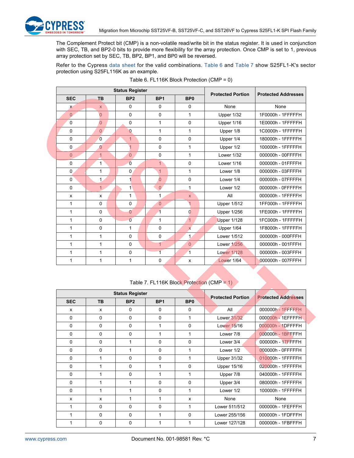

The Complement Protect bit (CMP) is a non-volatile read/write bit in the status register. It is used in conjunction with SEC, TB, and BP2-0 bits to provide more flexibility for the array protection. Once CMP is set to 1, previous array protection set by SEC, TB, BP2, BP1, and BP0 will be reversed.

Refer to the Cypress [data sheet](http://www.spansion.com/Products/Serial-Flash/Pages/Spansion%20FL.aspx) for the valid combinations. [Table 6](#page-7-0) and [Table 7](#page-7-1) show S25FL1-K's sector protection using S25FL116K as an example.

<span id="page-7-0"></span>

|                |                | <b>Status Register</b> | <b>Protected Portion</b> | <b>Protected Addresses</b> |                    |                   |
|----------------|----------------|------------------------|--------------------------|----------------------------|--------------------|-------------------|
| <b>SEC</b>     | <b>TB</b>      | BP <sub>2</sub>        | BP <sub>1</sub>          | BP <sub>0</sub>            |                    |                   |
| X              | $\mathsf{X}$   | $\Omega$               | $\Omega$                 | 0                          | None               | None              |
| $\overline{0}$ | $\overline{0}$ | $\mathbf 0$            | $\mathbf 0$              | 1                          | Upper 1/32         | 1F0000h - 1FFFFFH |
| $\Omega$       | $\overline{0}$ | $\Omega$               | $\mathbf{1}$             | 0                          | Upper 1/16         | 1E0000h - 1FFFFFH |
| $\mathbf 0$    | $\overline{0}$ | $\mathbf{0}$           | $\mathbf{1}$             | $\mathbf{1}$               | Upper 1/8          | 1C0000h - 1FFFFFH |
| $\mathbf 0$    | $\overline{0}$ | $\mathbf{1}$           | $\Omega$                 | $\mathbf 0$                | Upper 1/4          | 180000h - 1FFFFFH |
| $\mathbf 0$    | $\overline{0}$ | $\overline{1}$         | $\Omega$                 | $\mathbf{1}$               | Upper 1/2          | 100000h - 1FFFFFH |
| $\overline{0}$ | $\mathbf{1}$   | $\overline{0}$         | $\mathbf 0$              | 1                          | Lower 1/32         | 000000h - 00FFFFH |
| $\mathbf 0$    | 1              | $\overline{0}$         | $\overline{1}$           | $\Omega$                   | Lower 1/16         | 000000h - 01FFFFH |
| $\mathbf 0$    | 1              | $\mathbf 0$            | $\mathbf{1}$             | 1                          | Lower 1/8          | 000000h - 03FFFFH |
| $\mathbf 0$    | 1.             | $\mathbf{1}$           | $\overline{0}$           | $\mathbf 0$                | Lower 1/4          | 000000h - 07FFFFH |
| $\Omega$       | $\mathbf{1}$   | $\mathbf{1}$           | $\overline{0}$           | $\mathbf{1}$               | Lower 1/2          | 000000h - 0FFFFFH |
| X              | X              | 1                      | 1                        | $\mathsf{X}$               | All                | 000000h - 1FFFFFH |
| 1              | $\Omega$       | 0                      | $\overline{0}$           | $\overline{1}$             | <b>Upper 1/512</b> | 1FF000h - 1FFFFFH |
| 1              | $\Omega$       | $\overline{0}$         | 1                        | $\overline{0}$             | <b>Upper 1/256</b> | 1FE000h - 1FFFFFH |
| 1              | $\Omega$       | $\overline{0}$         | 1                        | $\overline{1}$             | <b>Upper 1/128</b> | 1FC000h - 1FFFFFH |
| 1              | $\Omega$       | $\mathbf{1}$           | $\Omega$                 | $\overline{\mathsf{x}}$    | Upper 1/64         | 1F8000h - 1FFFFFH |
| 1              | 1              | $\Omega$               | $\Omega$                 | $\mathbf{1}$               | Lower 1/512        | 000000h - 000FFFH |
| 1              | 1              | $\Omega$               | $\overline{1}$           | $\overline{0}$             | Lower 1/256        | 000000h - 001FFFH |
| 1              | 1              | $\mathbf 0$            | $\overline{1}$           | $\overline{1}$             | <b>Lower 1/128</b> | 000000h - 003FFFH |
| 1              | 1              | 1                      | $\Omega$                 | X                          | Lower 1/64         | 000000h - 007FFFH |

#### Table 6. FL116K Block Protection (CMP = 0)

#### Table 7. FL116K Block Protection (CMP = 1)

<span id="page-7-1"></span>

|            |           | <b>Status Register</b> |                 |                 | <b>Protected Portion</b> | <b>Protected Addresses</b> |
|------------|-----------|------------------------|-----------------|-----------------|--------------------------|----------------------------|
| <b>SEC</b> | <b>TB</b> | BP <sub>2</sub>        | BP <sub>1</sub> | BP <sub>0</sub> |                          |                            |
| x          | x         | 0                      | 0               | $\Omega$        | All                      | 000000h - 1FFFFFH          |
| $\Omega$   | 0         | $\Omega$               | $\Omega$        | 1               | Lower 31/32              | 000000h - 1EFFFFH          |
| $\Omega$   | 0         | $\Omega$               | 1               | $\mathbf{0}$    | Lower 15/16              | 000000h - 1DFFFFH          |
| $\Omega$   | 0         | $\Omega$               | 1               | 1               | Lower 7/8                | 000000h - 1BFFFFH          |
| 0          | 0         | 1                      | $\Omega$        | $\Omega$        | Lower 3/4                | 000000h - 17FFFFH          |
| 0          | 0         |                        | $\Omega$        | 1               | Lower 1/2                | 000000h - OFFFFFH          |
| $\Omega$   |           | $\Omega$               | $\Omega$        | 1               | Upper 31/32              | 010000h - 1FFFFFH          |
| $\Omega$   |           | $\Omega$               | 1               | $\Omega$        | <b>Upper 15/16</b>       | 020000h - 1FFFFFH          |
| $\Omega$   |           | $\Omega$               | 1               | 1               | Upper 7/8                | 040000h - 1FFFFFH          |
| 0          |           |                        | $\Omega$        | $\Omega$        | Upper 3/4                | 080000h - 1FFFFFH          |
| $\Omega$   |           |                        | $\Omega$        | 1               | Lower 1/2                | 100000h - 1FFFFFH          |
| x          | x         | 1                      | 1               | x               | None                     | None                       |
| 1          | 0         | $\Omega$               | $\Omega$        | 1               | Lower 511/512            | 000000h - 1FEFFFH          |
| 1          | $\Omega$  | $\Omega$               | 1               | $\Omega$        | Lower 255/156            | 000000h - 1FDFFFH          |
|            | 0         | 0                      |                 |                 | Lower 127/128            | 000000h - 1FBFFFH          |

Ŋ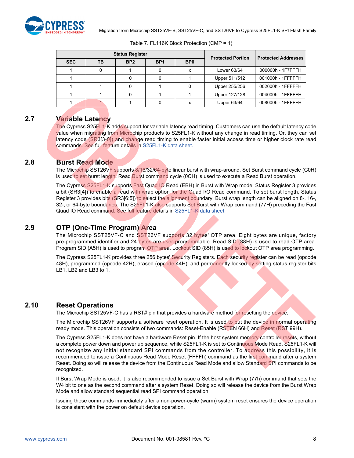| <b>Status Register</b> |    |                 |                 |                 | <b>Protected Portion</b> | <b>Protected Addresses</b> |
|------------------------|----|-----------------|-----------------|-----------------|--------------------------|----------------------------|
| <b>SEC</b>             | ΤВ | BP <sub>2</sub> | BP <sub>1</sub> | B <sub>P0</sub> |                          |                            |
|                        |    |                 |                 | x               | Lower 63/64              | 000000h - 1F7FFFH          |
|                        |    |                 |                 |                 | Upper 511/512            | 001000h - 1FFFFFH          |
|                        |    |                 |                 |                 | Upper 255/256            | 002000h - 1FFFFFH          |
|                        |    |                 |                 |                 | Upper 127/128            | 004000h - 1FFFFFH          |
|                        |    |                 |                 | x               | Upper 63/64              | 008000h - 1FFFFFH          |

| Table 7. FL116K Block Protection (CMP = 1) |  |  |  |
|--------------------------------------------|--|--|--|
|--------------------------------------------|--|--|--|

## <span id="page-8-0"></span>**2.7 Variable Latency**

The Cypress S25FL1-K adds support for variable latency read timing. Customers can use the default latency code value when migrating from Microchip products to S25FL1-K without any change in read timing. Or, they can set latency code (SR3[3-0]) and change read timing to enable faster initial access time or higher clock rate read commands. See full feature details in [S25FL1-K data sheet.](http://www.spansion.com/Products/Serial-Flash/Pages/Spansion%20FL.aspx)

## <span id="page-8-1"></span>**2.8 Burst Read Mode**

The Microchip SST26VF supports 8/16/32/64-byte linear burst with wrap-around. Set Burst command cycle (C0H) is used to set burst length. Read Burst command cycle (OCH) is used to execute a Read Burst operation.

The Cypress S25FL1-K supports Fast Quad IO Read (EBH) in Burst with Wrap mode. Status Register 3 provides a bit (SR3[4]) to enable a read with wrap option for the Quad I/O Read command. To set burst length, Status Register 3 provides bits (SR3[6:5]) to select the alignment boundary. Burst wrap length can be aligned on 8-, 16-, 32-, or 64-byte boundaries. The S25FL1-K also supports Set Burst with Wrap command (77H) preceding the Fast Quad IO Read command. See full feature details in [S25FL1-K data sheet.](http://www.spansion.com/Products/Serial-Flash/Pages/Spansion%20FL.aspx)

## <span id="page-8-2"></span>**2.9 OTP (One-Time Program) Area**

The Microchip SST25VF-C and SST26VF supports 32 bytes' OTP area. Eight bytes are unique, factory pre-programmed identifier and 24 bytes are user-programmable. Read SID (88H) is used to read OTP area. Program SID (A5H) is used to program OTP area. Lockout SID (85H) is used to lockout OTP area programming.

The Cypress S25FL1-K provides three 256 bytes' Security Registers. Each security register can be read (opcode 48H), programmed (opcode 42H), erased (opcode 44H), and permanently locked by setting status register bits LB1, LB2 and LB3 to 1.

## <span id="page-8-3"></span>**2.10 Reset Operations**

The Microchip SST25VF-C has a RST# pin that provides a hardware method for resetting the device.

The Microchip SST26VF supports a software reset operation. It is used to put the device in normal operating ready mode. This operation consists of two commands: Reset-Enable (RSTEN 66H) and Reset (RST 99H).

The Cypress S25FL1-K does not have a hardware Reset pin. If the host system memory controller resets, without a complete power down and power up sequence, while S25FL1-K is set to Continuous Mode Read, S25FL1-K will not recognize any initial standard SPI commands from the controller. To address this possibility, it is recommended to issue a Continuous Read Mode Reset (FFFFh) command as the first command after a system Reset. Doing so will release the device from the Continuous Read Mode and allow Standard SPI commands to be recognized.

If Burst Wrap Mode is used, it is also recommended to issue a Set Burst with Wrap (77h) command that sets the W4 bit to one as the second command after a system Reset. Doing so will release the device from the Burst Wrap Mode and allow standard sequential read SPI command operation.

Issuing these commands immediately after a non-power-cycle (warm) system reset ensures the device operation is consistent with the power on default device operation.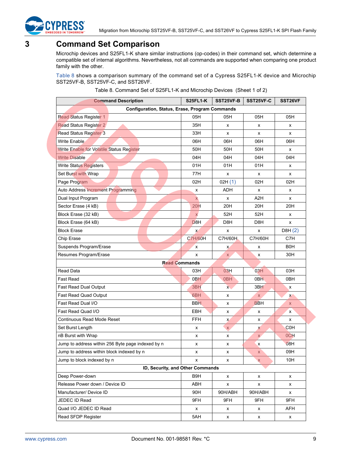

## <span id="page-9-0"></span>**3 Command Set Comparison**

Microchip devices and S25FL1-K share similar instructions (op-codes) in their command set, which determine a compatible set of internal algorithms. Nevertheless, not all commands are supported when comparing one product family with the other.

[Table 8](#page-9-1) shows a comparison summary of the command set of a Cypress S25FL1-K device and Microchip SST25VF-B, SST25VF-C, and SST26VF.

| Table 8. Command Set of S25FL1-K and Microchip Devices (Sheet 1 of 2) |  |  |
|-----------------------------------------------------------------------|--|--|
|-----------------------------------------------------------------------|--|--|

<span id="page-9-1"></span>

| <b>Command Description</b>                        | S25FL1-K             | SST25VF-B       | <b>SST25VF-C</b> | SST26VF          |  |
|---------------------------------------------------|----------------------|-----------------|------------------|------------------|--|
| Configuration, Status, Erase, Program Commands    |                      |                 |                  |                  |  |
| <b>Read Status Register 1</b>                     | 05H                  | 05H             | 05H              | 05H              |  |
| <b>Read Status Register 2</b>                     | 35H                  | x               | x                | x                |  |
| <b>Read Status Register 3</b>                     | 33H                  | x               | x                | x                |  |
| <b>Write Enable</b>                               | 06H                  | 06H             | 06H              | 06H              |  |
| <b>Write Enable for Volatile Status Register</b>  | 50H                  | 50H             | 50H              | x                |  |
| <b>Write Disable</b>                              | 04H                  | 04H             | 04H              | 04H              |  |
| <b>Write Status Registers</b>                     | 01H                  | 01H             | 01H              | х                |  |
| Set Burst with Wrap                               | 77H                  | x               | x                | x                |  |
| Page Program                                      | 02H                  | 02H(1)          | 02H              | 02H              |  |
| Auto Address Increment Programming                | х                    | <b>ADH</b>      | x                | х                |  |
| Dual Input Program                                | $\mathsf{X}$         | x               | A2H              | x                |  |
| Sector Erase (4 kB)                               | 20H                  | 20H             | 20H              | 20H              |  |
| Block Erase (32 kB)                               | $\mathsf{x}$         | 52H             | 52H              | х                |  |
| Block Erase (64 kB)                               | D <sub>8H</sub>      | D8H             | D8H              | x                |  |
| <b>Block Erase</b>                                | $\mathsf{x}$         | x               | x                | DBH(2)           |  |
| Chip Erase                                        | <b>C7H/60H</b>       | C7H/60H         | C7H/60H          | C7H              |  |
| Suspends Program/Erase                            | x                    | x               | x                | B0H              |  |
| Resumes Program/Erase                             | x                    | $\mathsf{X}$    | x                | 30H              |  |
|                                                   | <b>Read Commands</b> |                 |                  |                  |  |
| <b>Read Data</b>                                  | 03H                  | 03H             | 03H              | 03H              |  |
| <b>Fast Read</b>                                  | 0 <sub>BH</sub>      | 0 <sub>BH</sub> | 0 <sub>BH</sub>  | 0BH              |  |
| Fast Read Dual Output                             | 3 <sub>BH</sub>      | $\mathsf{x}$    | 3BH              | х                |  |
| Fast Read Quad Output                             | 6BH                  | x               | <b>X</b>         | $\mathbf{x}$     |  |
| Fast Read Dual I/O                                | <b>BBH</b>           | x               | <b>BBH</b>       | X                |  |
| Fast Read Quad I/O                                | <b>EBH</b>           | x               | х                | x                |  |
| Continuous Read Mode Reset                        | <b>FFH</b>           | X.              | x                | x                |  |
| Set Burst Length                                  | x                    | $\mathsf{X}$    | x                | C0H              |  |
| nB Burst with Wrap                                | x                    | x               | $\mathsf{X}$     | OCH <sub>1</sub> |  |
| Jump to address within 256 Byte page indexed by n | x                    | x               | х                | 08H              |  |
| Jump to address within block indexed by n         | х                    | x               | X                | 09H              |  |
| Jump to block indexed by n                        | x                    | x               | X                | 10H              |  |
| ID, Security, and Other Commands                  |                      |                 |                  |                  |  |
| Deep Power-down                                   | B9H                  | x               | x                | x                |  |
| Release Power down / Device ID                    | ABH                  | x               | x                | x                |  |
| Manufacturer/ Device ID                           | 90H                  | 90H/ABH         | 90H/ABH          | x                |  |
| JEDEC ID Read                                     | 9FH                  | 9FH             | 9FH              | 9FH              |  |
| Quad I/O JEDEC ID Read                            | x                    | x               | x                | AFH              |  |
| Read SFDP Register                                | 5AH                  | x               | x                | x                |  |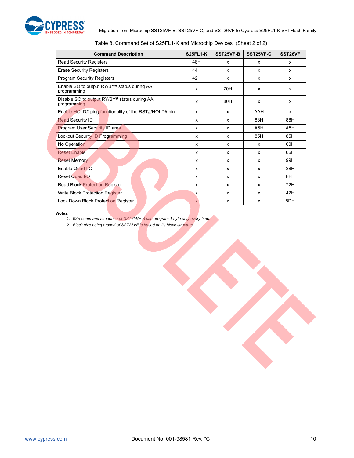

| <b>Command Description</b>                                   | <b>S25FL1-K</b> | SST25VF-B        | SST25VF-C        | SST26VF    |
|--------------------------------------------------------------|-----------------|------------------|------------------|------------|
| Read Security Registers                                      | 48H             | $\mathsf{x}$     | $\mathsf{x}$     | x          |
| <b>Erase Security Registers</b>                              | 44H             | $\mathsf{x}$     | x                | x          |
| <b>Program Security Registers</b>                            | 42H             | x                | x                | x          |
| Enable SO to output RY/BY# status during AAI<br>programming  | $\mathsf{x}$    | 70H              | X                | x          |
| Disable SO to output RY/BY# status during AAI<br>programming | X               | 80H              | X                | x          |
| Enable HOLD# ping functionality of the RST#/HOLD# pin        | $\mathsf{x}$    | $\mathsf{x}$     | AAH              | x          |
| <b>Read Security ID</b>                                      | X               | $\mathsf{x}$     | 88H              | 88H        |
| <b>Program User Security ID area</b>                         | X               | $\mathsf{x}$     | A <sub>5</sub> H | A5H        |
| Lockout Security ID Programming                              | X               | $\boldsymbol{x}$ | 85H              | 85H        |
| No Operation                                                 | $\mathsf{x}$    | $\boldsymbol{x}$ | $\mathsf{x}$     | 00H        |
| <b>Reset Enable</b>                                          | x               | $\mathsf{x}$     | $\mathsf{x}$     | 66H        |
| <b>Reset Memory</b>                                          | X               | $\mathsf{x}$     | X                | 99H        |
| Enable Quad I/O                                              | X               | $\mathsf{x}$     | X                | 38H        |
| Reset Quad I/O                                               | x               | $\mathsf{x}$     | X                | <b>FFH</b> |
| <b>Read Block Protection Register</b>                        | X               | $\mathsf{x}$     | X                | 72H        |
| <b>Write Block Protection Register</b>                       | $\mathsf{x}$    | $\mathsf{x}$     | x                | 42H        |
| Lock Down Block Protection Register                          | $\mathsf{X}$    | X                | x                | 8DH        |

#### Table 8. Command Set of S25FL1-K and Microchip Devices (Sheet 2 of 2)

<span id="page-10-1"></span><span id="page-10-0"></span>*Notes:*

*1. 02H command sequence of SST25VF-B can program 1 byte only every time.* 

*2. Block size being erased of SST26VF is based on its block structure.*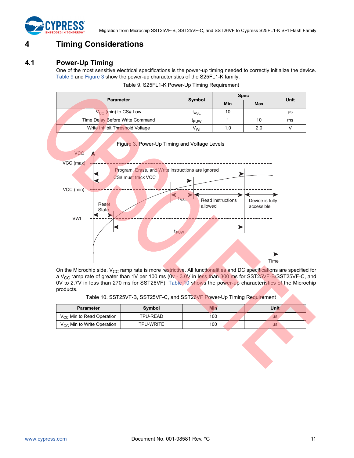

## <span id="page-11-0"></span>**4 Timing Considerations**

## <span id="page-11-1"></span>**4.1 Power-Up Timing**

One of the most sensitive electrical specifications is the power-up timing needed to correctly initialize the device. [Table 9](#page-11-2) and [Figure 3](#page-11-4) show the power-up characteristics of the S25FL1-K family.

| Table 9. S25FL1-K Power-Up Timing Requirement |  |  |
|-----------------------------------------------|--|--|
|                                               |  |  |

<span id="page-11-2"></span>

| <b>Parameter</b>                |  | Symbol           | <b>Spec</b> | Unit       |    |
|---------------------------------|--|------------------|-------------|------------|----|
|                                 |  |                  | Min         | <b>Max</b> |    |
| $V_{CC}$ (min) to CS# Low       |  | <sup>L</sup> VSL | 10          |            | μs |
| Time Delay Before Write Command |  | <sup>I</sup> PUW |             | 10         | ms |
| Write Inhibit Threshold Voltage |  | V <sub>WI</sub>  | 1.0         | 2.0        |    |
|                                 |  |                  |             |            |    |

<span id="page-11-4"></span>

Figure 3. Power-Up Timing and Voltage Levels

On the Microchip side, V<sub>CC</sub> ramp rate is more restrictive. All functionalities and DC specifications are specified for a V<sub>CC</sub> ramp rate of greater than 1V per 100 ms (0v - 3.0V in less than 300 ms for SST25VF-B/SST25VF-C, and 0V to 2.7V in less than 270 ms for SST26VF). [Table 10](#page-11-3) shows the power-up characteristics of the Microchip products.

Table 10. SST25VF-B, SST25VF-C, and SST26VF Power-Up Timing Requirement

<span id="page-11-3"></span>

| <b>Parameter</b>                | Symbol    | Min | Unit      |  |
|---------------------------------|-----------|-----|-----------|--|
| $V_{CC}$ Min to Read Operation  | TPU-READ  | 100 | <b>US</b> |  |
| $V_{CC}$ Min to Write Operation | TPU-WRITE | 100 | <b>US</b> |  |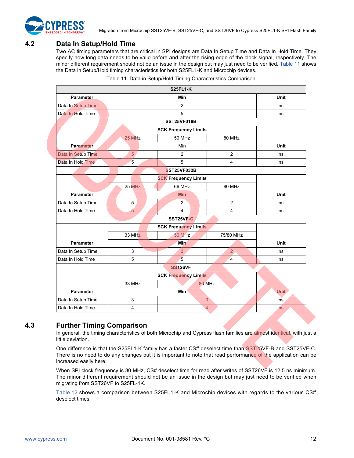

## <span id="page-12-0"></span>**4.2 Data In Setup/Hold Time**

Two AC timing parameters that are critical in SPI designs are Data In Setup Time and Data In Hold Time. They specify how long data needs to be valid before and after the rising edge of the clock signal, respectively. The minor different requirement should not be an issue in the design but may just need to be verified. [Table 11](#page-12-2) shows the Data in Setup/Hold timing characteristics for both S25FL1-K and Microchip devices.

<span id="page-12-2"></span>

|                    |                                  | <b>S25FL1-K</b>             |                |             |  |  |
|--------------------|----------------------------------|-----------------------------|----------------|-------------|--|--|
| Parameter          |                                  | Min                         |                | <b>Unit</b> |  |  |
| Data In Setup Time |                                  |                             | ns             |             |  |  |
| Data In Hold Time  |                                  | 5                           |                | ns          |  |  |
|                    |                                  | SST25VF016B                 |                |             |  |  |
|                    |                                  | <b>SCK Frequency Limits</b> |                |             |  |  |
|                    | 25 MHz                           | 50 MHz                      | 80 MHz         |             |  |  |
| <b>Parameter</b>   |                                  | Min                         |                | <b>Unit</b> |  |  |
| Data In Setup Time | 5                                | $\overline{2}$              | $\overline{2}$ | ns          |  |  |
| Data In Hold Time  | 5                                | 5                           | $\overline{4}$ | ns          |  |  |
|                    |                                  | <b>SST25VF032B</b>          |                |             |  |  |
|                    |                                  | <b>SCK Frequency Limits</b> |                |             |  |  |
|                    | 25 MHz                           | 66 MHz                      | 80 MHz         |             |  |  |
| <b>Parameter</b>   |                                  | <b>Min</b>                  |                | <b>Unit</b> |  |  |
| Data In Setup Time | 5                                | $\overline{2}$              | $\overline{2}$ | ns          |  |  |
| Data In Hold Time  | 5                                | $\overline{4}$              | 4              | ns          |  |  |
|                    |                                  | SST25VF-C                   |                |             |  |  |
|                    |                                  | <b>SCK Frequency Limits</b> |                |             |  |  |
|                    | 33 MHz                           | <b>50 MHz</b>               | 75/80 MHz      |             |  |  |
| <b>Parameter</b>   |                                  | <b>Min</b>                  |                | Unit        |  |  |
| Data In Setup Time | 3                                | 3                           | $\overline{2}$ | ns          |  |  |
| Data In Hold Time  | 5                                | 5                           | $\overline{4}$ | ns          |  |  |
|                    |                                  | SST <sub>26</sub> VF        |                |             |  |  |
|                    |                                  | <b>SCK Frequency Limits</b> |                |             |  |  |
|                    | 33 MHz                           | 80 MHz                      |                |             |  |  |
| <b>Parameter</b>   |                                  | Min                         |                | <b>Unit</b> |  |  |
| Data In Setup Time | 3                                | 3 <sup>°</sup>              |                |             |  |  |
| Data In Hold Time  | $\overline{4}$<br>4<br><b>ns</b> |                             |                |             |  |  |

Table 11. Data in Setup/Hold Timing Characteristics Comparison

## <span id="page-12-1"></span>**4.3 Further Timing Comparison**

In general, the timing characteristics of both Microchip and Cypress flash families are almost identical, with just a little deviation.

One difference is that the S25FL1-K family has a faster CS# deselect time than SST25VF-B and SST25VF-C. There is no need to do any changes but it is important to note that read performance of the application can be increased easily here.

When SPI clock frequency is 80 MHz, CS# deselect time for read after writes of SST26VF is 12.5 ns minimum. The minor different requirement should not be an issue in the design but may just need to be verified when migrating from SST26VF to S25FL-1K.

[Table 12](#page-13-1) shows a comparison between S25FL1-K and Microchip devices with regards to the various CS# deselect times.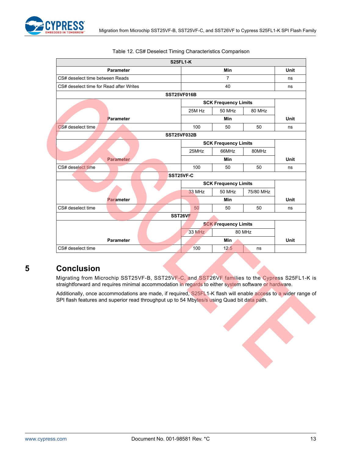

<span id="page-13-1"></span>

|                                         | <b>S25FL1-K</b>             |                             |           |      |
|-----------------------------------------|-----------------------------|-----------------------------|-----------|------|
| <b>Parameter</b>                        |                             | <b>Min</b>                  |           | Unit |
| CS# deselect time between Reads         | $\overline{7}$              |                             |           | ns   |
| CS# deselect time for Read after Writes |                             | 40                          |           | ns   |
|                                         | SST25VF016B                 |                             |           |      |
|                                         |                             | <b>SCK Frequency Limits</b> |           |      |
|                                         | 25M Hz                      | <b>50 MHz</b>               | 80 MHz    |      |
| Parameter                               |                             | Min                         |           | Unit |
| CS# deselect time                       | 100                         | 50                          | 50        | ns   |
|                                         | SST25VF032B                 |                             |           |      |
|                                         | <b>SCK Frequency Limits</b> |                             |           |      |
|                                         | 25MHz                       | 66MHz                       | 80MHz     |      |
| <b>Parameter</b>                        |                             | <b>Min</b>                  |           | Unit |
| CS# deselect time                       | 100                         | 50                          | 50        | ns   |
|                                         | SST25VF-C                   |                             |           |      |
|                                         |                             | <b>SCK Frequency Limits</b> |           |      |
|                                         | <b>33 MHz</b>               | 50 MHz                      | 75/80 MHz |      |
| <b>Parameter</b>                        |                             | <b>Min</b>                  |           | Unit |
| CS# deselect time                       | 50                          | 50                          | 50        | ns   |
|                                         | SST26VF                     |                             |           |      |
|                                         | <b>SCK Frequency Limits</b> |                             |           |      |
|                                         | <b>33 MHz</b>               |                             | 80 MHz    |      |
| <b>Parameter</b>                        |                             | Min                         |           | Unit |
| CS# deselect time                       | 100                         | 12.5                        | ns        |      |

#### Table 12. CS# Deselect Timing Characteristics Comparison

## <span id="page-13-0"></span>**5 Conclusion**

Migrating from Microchip SST25VF-B, SST25VF-C, and SST26VF families to the Cypress S25FL1-K is straightforward and requires minimal accommodation in regards to either system software or hardware.

Additionally, once accommodations are made, if required, S25FL1-K flash will enable access to a wider range of SPI flash features and superior read throughput up to 54 Mbytes/s using Quad bit data path.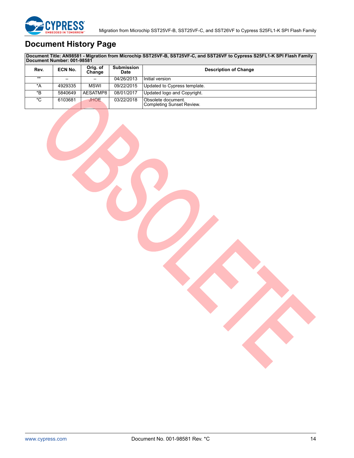

## <span id="page-14-0"></span>**Document History Page**

**Document Title: AN98581 - Migration from Microchip SST25VF-B, SST25VF-C, and SST26VF to Cypress S25FL1-K SPI Flash Family Document Number: 001-98581**

| Rev.  | ECN No. | Orig. of<br>Change | <b>Submission</b><br><b>Date</b> | <b>Description of Change</b>                           |
|-------|---------|--------------------|----------------------------------|--------------------------------------------------------|
| $***$ |         |                    | 04/26/2013                       | Initial version                                        |
| *A    | 4929335 | <b>MSWI</b>        | 09/22/2015                       | Updated to Cypress template.                           |
| *B.   | 5840649 | AESATMP8           | 08/01/2017                       | Updated logo and Copyright.                            |
| *C    | 6103681 | <b>JHOE</b>        | 03/22/2018                       | Obsolete document.<br><b>Completing Sunset Review.</b> |